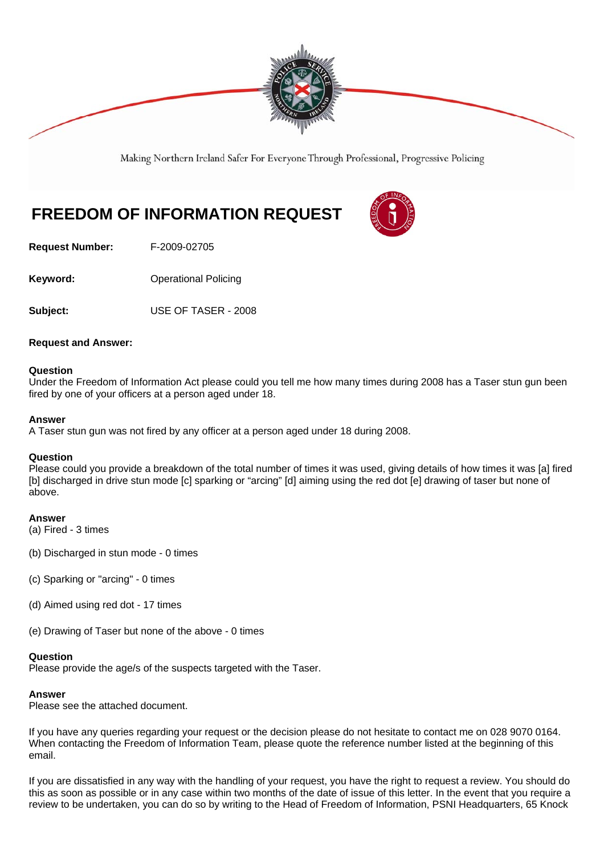

Making Northern Ireland Safer For Everyone Through Professional, Progressive Policing

# **FREEDOM OF INFORMATION REQUEST**



**Request Number:** F-2009-02705

**Keyword: C** Operational Policing

**Subject:** USE OF TASER - 2008

#### **Request and Answer:**

#### **Question**

Under the Freedom of Information Act please could you tell me how many times during 2008 has a Taser stun gun been fired by one of your officers at a person aged under 18.

#### **Answer**

A Taser stun gun was not fired by any officer at a person aged under 18 during 2008.

#### **Question**

Please could you provide a breakdown of the total number of times it was used, giving details of how times it was [a] fired [b] discharged in drive stun mode [c] sparking or "arcing" [d] aiming using the red dot [e] drawing of taser but none of above.

#### **Answer**

- (a) Fired 3 times
- (b) Discharged in stun mode 0 times
- (c) Sparking or "arcing" 0 times
- (d) Aimed using red dot 17 times
- (e) Drawing of Taser but none of the above 0 times

#### **Question**

Please provide the age/s of the suspects targeted with the Taser.

#### **Answer**

Please see the attached document.

If you have any queries regarding your request or the decision please do not hesitate to contact me on 028 9070 0164. When contacting the Freedom of Information Team, please quote the reference number listed at the beginning of this email.

If you are dissatisfied in any way with the handling of your request, you have the right to request a review. You should do this as soon as possible or in any case within two months of the date of issue of this letter. In the event that you require a review to be undertaken, you can do so by writing to the Head of Freedom of Information, PSNI Headquarters, 65 Knock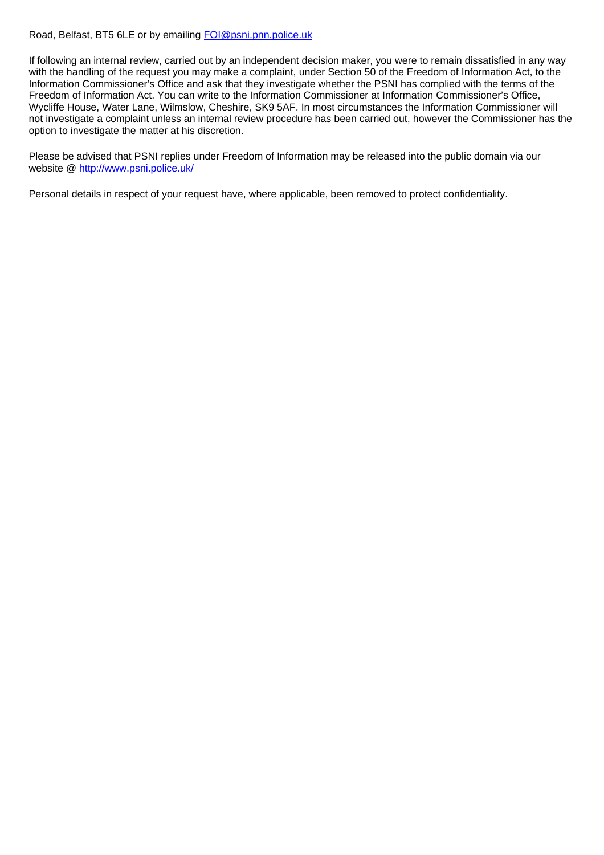#### Road, Belfast, BT5 6LE or by emailing FOI@psni.pnn.police.uk

If following an internal review, carried out by an independent decision maker, you were to remain dissatisfied in any way with the handling of the request you may make a complaint, under Section 50 of the Freedom of Information Act, to the Information Commissioner's Office and ask that they investigate whether the PSNI has complied with the terms of the Freedom of Information Act. You can write to the Information Commissioner at Information Commissioner's Office, Wycliffe House, Water Lane, Wilmslow, Cheshire, SK9 5AF. In most circumstances the Information Commissioner will not investigate a complaint unless an internal review procedure has been carried out, however the Commissioner has the option to investigate the matter at his discretion.

Please be advised that PSNI replies under Freedom of Information may be released into the public domain via our website @ http://www.psni.police.uk/

Personal details in respect of your request have, where applicable, been removed to protect confidentiality.